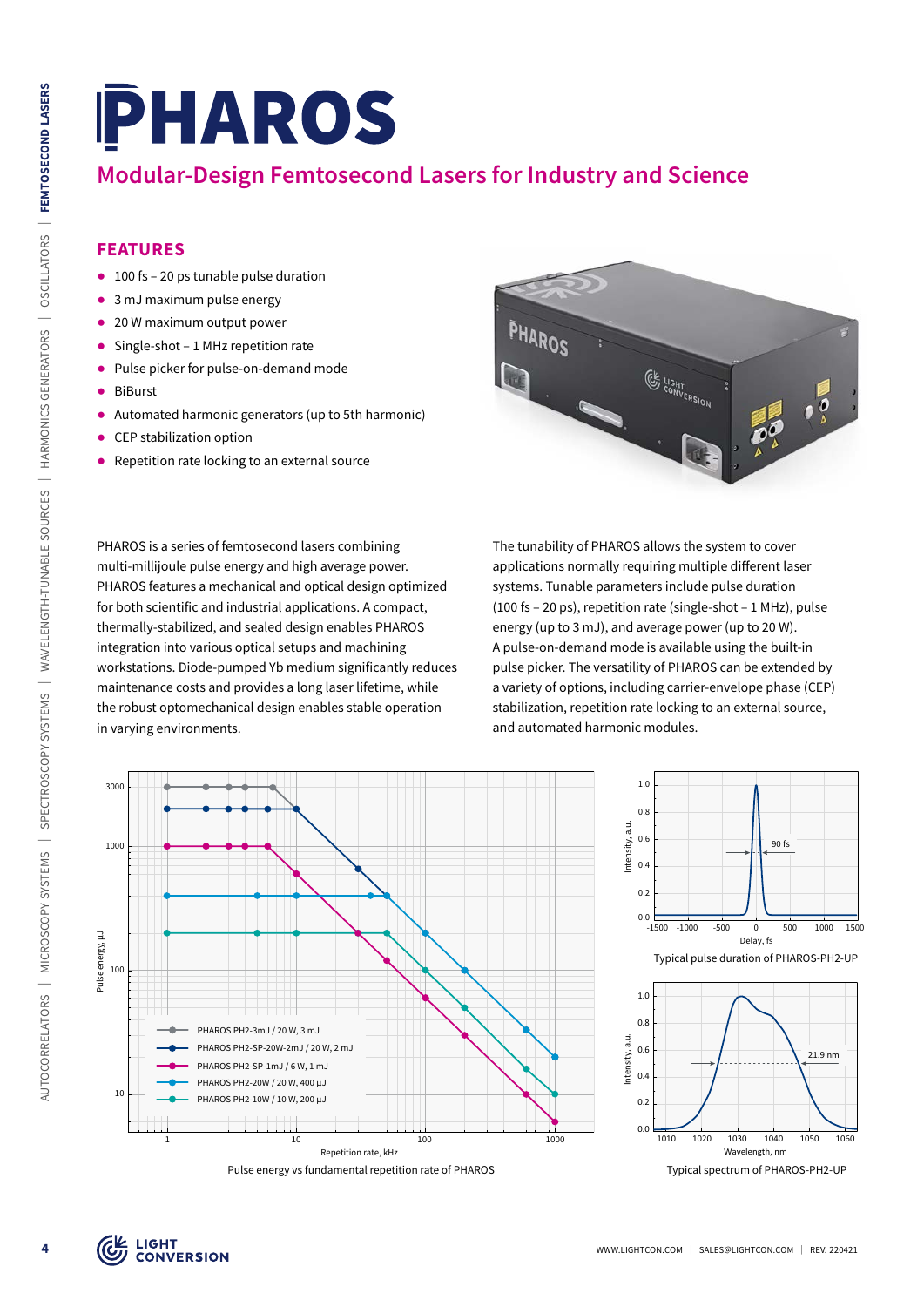# **Modular-Design Femtosecond Lasers for Industry and Science**

### **FEATURES**

- 100 fs 20 ps tunable pulse duration
- 3 mJ maximum pulse energy
- 20 W maximum output power
- Single-shot 1 MHz repetition rate
- Pulse picker for pulse-on-demand mode
- ᰋ BiBurst
- ᰋ Automated harmonic generators (up to 5th harmonic)
- CEP stabilization option
- Repetition rate locking to an external source

PHAROS is a series of femtosecond lasers combining multi-millijoule pulse energy and high average power. PHAROS features a mechanical and optical design optimized for both scientific and industrial applications. A compact, thermally-stabilized, and sealed design enables PHAROS integration into various optical setups and machining workstations. Diode-pumped Yb medium significantly reduces maintenance costs and provides a long laser lifetime, while the robust optomechanical design enables stable operation in varying environments.

The tunability of PHAROS allows the system to cover applications normally requiring multiple different laser systems. Tunable parameters include pulse duration (100 fs – 20 ps), repetition rate (single-shot – 1 MHz), pulse energy (up to 3 mJ), and average power (up to 20 W). A pulse-on-demand mode is available using the built-in pulse picker. The versatility of PHAROS can be extended by a variety of options, including carrier-envelope phase (CEP) stabilization, repetition rate locking to an external source, and automated harmonic modules.



Pulse energy vs fundamental repetition rate of PHAROS



Typical spectrum of PHAROS-PH2-UP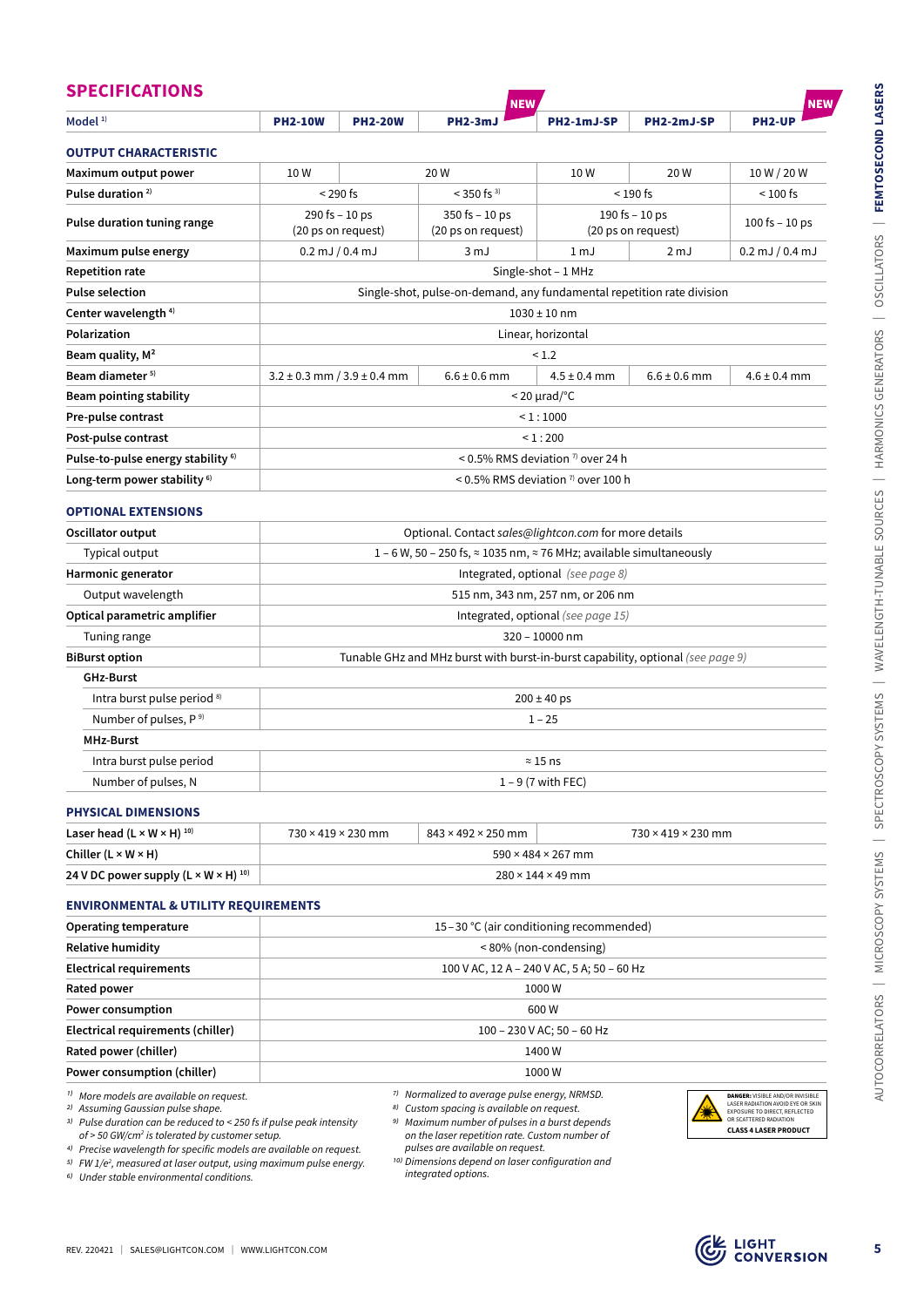|                                                                                                                                                                                                                                                                                                                                        |                                                                                  |                | <b>NEW</b>                                                                                                                                                                                                                                     |                                                             |                    | <b>NEW</b>                                                                                                                                                       |  |  |
|----------------------------------------------------------------------------------------------------------------------------------------------------------------------------------------------------------------------------------------------------------------------------------------------------------------------------------------|----------------------------------------------------------------------------------|----------------|------------------------------------------------------------------------------------------------------------------------------------------------------------------------------------------------------------------------------------------------|-------------------------------------------------------------|--------------------|------------------------------------------------------------------------------------------------------------------------------------------------------------------|--|--|
| Model $1$ <sup>1)</sup>                                                                                                                                                                                                                                                                                                                | <b>PH2-10W</b>                                                                   | <b>PH2-20W</b> | <b>PH2-3mJ</b>                                                                                                                                                                                                                                 | PH2-1mJ-SP                                                  | PH2-2mJ-SP         | <b>PH2-UP</b>                                                                                                                                                    |  |  |
| <b>OUTPUT CHARACTERISTIC</b>                                                                                                                                                                                                                                                                                                           |                                                                                  |                |                                                                                                                                                                                                                                                |                                                             |                    |                                                                                                                                                                  |  |  |
| Maximum output power                                                                                                                                                                                                                                                                                                                   | 10W                                                                              |                | 20W                                                                                                                                                                                                                                            | 10W                                                         | 20W                | 10 W / 20 W                                                                                                                                                      |  |  |
| Pulse duration <sup>2)</sup>                                                                                                                                                                                                                                                                                                           | $<$ 290 fs                                                                       |                | $<$ 350 fs $^{3)}$                                                                                                                                                                                                                             | $< 190$ fs                                                  |                    | $< 100$ fs                                                                                                                                                       |  |  |
| Pulse duration tuning range                                                                                                                                                                                                                                                                                                            | 290 fs - 10 ps<br>(20 ps on request)                                             |                | $350$ fs $-10$ ps<br>(20 ps on request)                                                                                                                                                                                                        | 190 fs $-10$ ps<br>(20 ps on request)                       |                    | 100 fs $-10$ ps                                                                                                                                                  |  |  |
| Maximum pulse energy                                                                                                                                                                                                                                                                                                                   | $0.2$ mJ $/ 0.4$ mJ                                                              |                | 3 <sub>mJ</sub>                                                                                                                                                                                                                                | 1 <sub>mJ</sub><br>2 mJ                                     |                    | $0.2$ mJ $/ 0.4$ mJ                                                                                                                                              |  |  |
| <b>Repetition rate</b>                                                                                                                                                                                                                                                                                                                 |                                                                                  |                |                                                                                                                                                                                                                                                | Single-shot - 1 MHz                                         |                    |                                                                                                                                                                  |  |  |
| <b>Pulse selection</b>                                                                                                                                                                                                                                                                                                                 |                                                                                  |                | Single-shot, pulse-on-demand, any fundamental repetition rate division                                                                                                                                                                         |                                                             |                    |                                                                                                                                                                  |  |  |
| Center wavelength <sup>4)</sup>                                                                                                                                                                                                                                                                                                        |                                                                                  |                |                                                                                                                                                                                                                                                | $1030 \pm 10$ nm                                            |                    |                                                                                                                                                                  |  |  |
| Polarization                                                                                                                                                                                                                                                                                                                           | Linear, horizontal                                                               |                |                                                                                                                                                                                                                                                |                                                             |                    |                                                                                                                                                                  |  |  |
| Beam quality, M <sup>2</sup>                                                                                                                                                                                                                                                                                                           |                                                                                  |                |                                                                                                                                                                                                                                                | < 1.2                                                       |                    |                                                                                                                                                                  |  |  |
| Beam diameter <sup>5)</sup>                                                                                                                                                                                                                                                                                                            | $3.2 \pm 0.3$ mm $/ 3.9 \pm 0.4$ mm                                              |                | $6.6 \pm 0.6$ mm                                                                                                                                                                                                                               | $4.5 \pm 0.4$ mm                                            | $6.6 \pm 0.6$ mm   | $4.6 \pm 0.4$ mm                                                                                                                                                 |  |  |
| <b>Beam pointing stability</b>                                                                                                                                                                                                                                                                                                         |                                                                                  |                |                                                                                                                                                                                                                                                | $<$ 20 $\mu$ rad/°C                                         |                    |                                                                                                                                                                  |  |  |
| Pre-pulse contrast                                                                                                                                                                                                                                                                                                                     |                                                                                  |                |                                                                                                                                                                                                                                                | < 1:1000                                                    |                    |                                                                                                                                                                  |  |  |
| Post-pulse contrast                                                                                                                                                                                                                                                                                                                    |                                                                                  |                |                                                                                                                                                                                                                                                | < 1:200                                                     |                    |                                                                                                                                                                  |  |  |
| Pulse-to-pulse energy stability <sup>6)</sup>                                                                                                                                                                                                                                                                                          |                                                                                  |                |                                                                                                                                                                                                                                                | < 0.5% RMS deviation $\frac{7}{1}$ over 24 h                |                    |                                                                                                                                                                  |  |  |
| Long-term power stability <sup>6)</sup>                                                                                                                                                                                                                                                                                                |                                                                                  |                |                                                                                                                                                                                                                                                | $\leq$ 0.5% RMS deviation $\frac{7}{1}$ over 100 h          |                    |                                                                                                                                                                  |  |  |
| <b>OPTIONAL EXTENSIONS</b>                                                                                                                                                                                                                                                                                                             |                                                                                  |                |                                                                                                                                                                                                                                                |                                                             |                    |                                                                                                                                                                  |  |  |
| Oscillator output                                                                                                                                                                                                                                                                                                                      |                                                                                  |                | Optional. Contact sales@lightcon.com for more details                                                                                                                                                                                          |                                                             |                    |                                                                                                                                                                  |  |  |
| Typical output                                                                                                                                                                                                                                                                                                                         |                                                                                  |                | 1 – 6 W, 50 – 250 fs, $\approx$ 1035 nm, $\approx$ 76 MHz; available simultaneously                                                                                                                                                            |                                                             |                    |                                                                                                                                                                  |  |  |
| Harmonic generator                                                                                                                                                                                                                                                                                                                     | Integrated, optional (see page 8)                                                |                |                                                                                                                                                                                                                                                |                                                             |                    |                                                                                                                                                                  |  |  |
| Output wavelength                                                                                                                                                                                                                                                                                                                      | 515 nm, 343 nm, 257 nm, or 206 nm                                                |                |                                                                                                                                                                                                                                                |                                                             |                    |                                                                                                                                                                  |  |  |
| Optical parametric amplifier                                                                                                                                                                                                                                                                                                           | Integrated, optional (see page 15)                                               |                |                                                                                                                                                                                                                                                |                                                             |                    |                                                                                                                                                                  |  |  |
| Tuning range                                                                                                                                                                                                                                                                                                                           | 320 - 10000 nm                                                                   |                |                                                                                                                                                                                                                                                |                                                             |                    |                                                                                                                                                                  |  |  |
| <b>BiBurst option</b>                                                                                                                                                                                                                                                                                                                  | Tunable GHz and MHz burst with burst-in-burst capability, optional (see page 9)  |                |                                                                                                                                                                                                                                                |                                                             |                    |                                                                                                                                                                  |  |  |
| <b>GHz-Burst</b>                                                                                                                                                                                                                                                                                                                       |                                                                                  |                |                                                                                                                                                                                                                                                |                                                             |                    |                                                                                                                                                                  |  |  |
| Intra burst pulse period 8)                                                                                                                                                                                                                                                                                                            | $200 \pm 40$ ps                                                                  |                |                                                                                                                                                                                                                                                |                                                             |                    |                                                                                                                                                                  |  |  |
| Number of pulses, P <sup>9)</sup>                                                                                                                                                                                                                                                                                                      | $1 - 25$                                                                         |                |                                                                                                                                                                                                                                                |                                                             |                    |                                                                                                                                                                  |  |  |
| <b>MHz-Burst</b>                                                                                                                                                                                                                                                                                                                       |                                                                                  |                |                                                                                                                                                                                                                                                |                                                             |                    |                                                                                                                                                                  |  |  |
| Intra burst pulse period                                                                                                                                                                                                                                                                                                               | $\approx$ 15 ns                                                                  |                |                                                                                                                                                                                                                                                |                                                             |                    |                                                                                                                                                                  |  |  |
| Number of pulses, N                                                                                                                                                                                                                                                                                                                    | $1 - 9$ (7 with FEC)                                                             |                |                                                                                                                                                                                                                                                |                                                             |                    |                                                                                                                                                                  |  |  |
| <b>PHYSICAL DIMENSIONS</b>                                                                                                                                                                                                                                                                                                             |                                                                                  |                |                                                                                                                                                                                                                                                |                                                             |                    |                                                                                                                                                                  |  |  |
| Laser head $(L \times W \times H)^{10}$                                                                                                                                                                                                                                                                                                | 730 × 419 × 230 mm                                                               |                | 843 × 492 × 250 mm                                                                                                                                                                                                                             |                                                             | 730 × 419 × 230 mm |                                                                                                                                                                  |  |  |
| Chiller (L × W × H)                                                                                                                                                                                                                                                                                                                    |                                                                                  |                |                                                                                                                                                                                                                                                | 590 × 484 × 267 mm                                          |                    |                                                                                                                                                                  |  |  |
| 24 V DC power supply $(L \times W \times H)^{10}$                                                                                                                                                                                                                                                                                      | $280 \times 144 \times 49$ mm                                                    |                |                                                                                                                                                                                                                                                |                                                             |                    |                                                                                                                                                                  |  |  |
| <b>ENVIRONMENTAL &amp; UTILITY REQUIREMENTS</b>                                                                                                                                                                                                                                                                                        |                                                                                  |                |                                                                                                                                                                                                                                                |                                                             |                    |                                                                                                                                                                  |  |  |
| Operating temperature                                                                                                                                                                                                                                                                                                                  |                                                                                  |                |                                                                                                                                                                                                                                                |                                                             |                    |                                                                                                                                                                  |  |  |
| Relative humidity                                                                                                                                                                                                                                                                                                                      | 15-30 °C (air conditioning recommended)<br><80% (non-condensing)                 |                |                                                                                                                                                                                                                                                |                                                             |                    |                                                                                                                                                                  |  |  |
| <b>Electrical requirements</b>                                                                                                                                                                                                                                                                                                         | 100 V AC, 12 A - 240 V AC, 5 A; 50 - 60 Hz                                       |                |                                                                                                                                                                                                                                                |                                                             |                    |                                                                                                                                                                  |  |  |
| Rated power                                                                                                                                                                                                                                                                                                                            | 1000 W                                                                           |                |                                                                                                                                                                                                                                                |                                                             |                    |                                                                                                                                                                  |  |  |
| Power consumption                                                                                                                                                                                                                                                                                                                      | 600W                                                                             |                |                                                                                                                                                                                                                                                |                                                             |                    |                                                                                                                                                                  |  |  |
| Electrical requirements (chiller)                                                                                                                                                                                                                                                                                                      | 100 - 230 V AC; 50 - 60 Hz                                                       |                |                                                                                                                                                                                                                                                |                                                             |                    |                                                                                                                                                                  |  |  |
| Rated power (chiller)                                                                                                                                                                                                                                                                                                                  | 1400 W                                                                           |                |                                                                                                                                                                                                                                                |                                                             |                    |                                                                                                                                                                  |  |  |
| Power consumption (chiller)                                                                                                                                                                                                                                                                                                            | 1000 W                                                                           |                |                                                                                                                                                                                                                                                |                                                             |                    |                                                                                                                                                                  |  |  |
|                                                                                                                                                                                                                                                                                                                                        |                                                                                  |                |                                                                                                                                                                                                                                                |                                                             |                    |                                                                                                                                                                  |  |  |
| <sup>1)</sup> More models are available on request.<br><sup>2)</sup> Assuming Gaussian pulse shape.<br><sup>3)</sup> Pulse duration can be reduced to < 250 fs if pulse peak intensity<br>of > 50 GW/cm <sup>2</sup> is tolerated by customer setup.<br><sup>4)</sup> Precise wavelength for specific models are available on request. | <sup>5)</sup> FW $1/e^2$ , measured at laser output, using maximum pulse energy. |                | 7) Normalized to average pulse energy, NRMSD.<br>8) Custom spacing is available on request.<br><sup>9)</sup> Maximum number of pulses in a burst depends<br>on the laser repetition rate. Custom number of<br>pulses are available on request. | <sup>10)</sup> Dimensions depend on laser configuration and |                    | DANGER: VISIBLE AND/OR INVISIBLE<br>LASER RADIATION AVOID EYE OR SKIN<br>EXPOSURE TO DIRECT, REFLECTED<br>OR SCATTERED RADIATION<br><b>CLASS 4 LASER PRODUCT</b> |  |  |

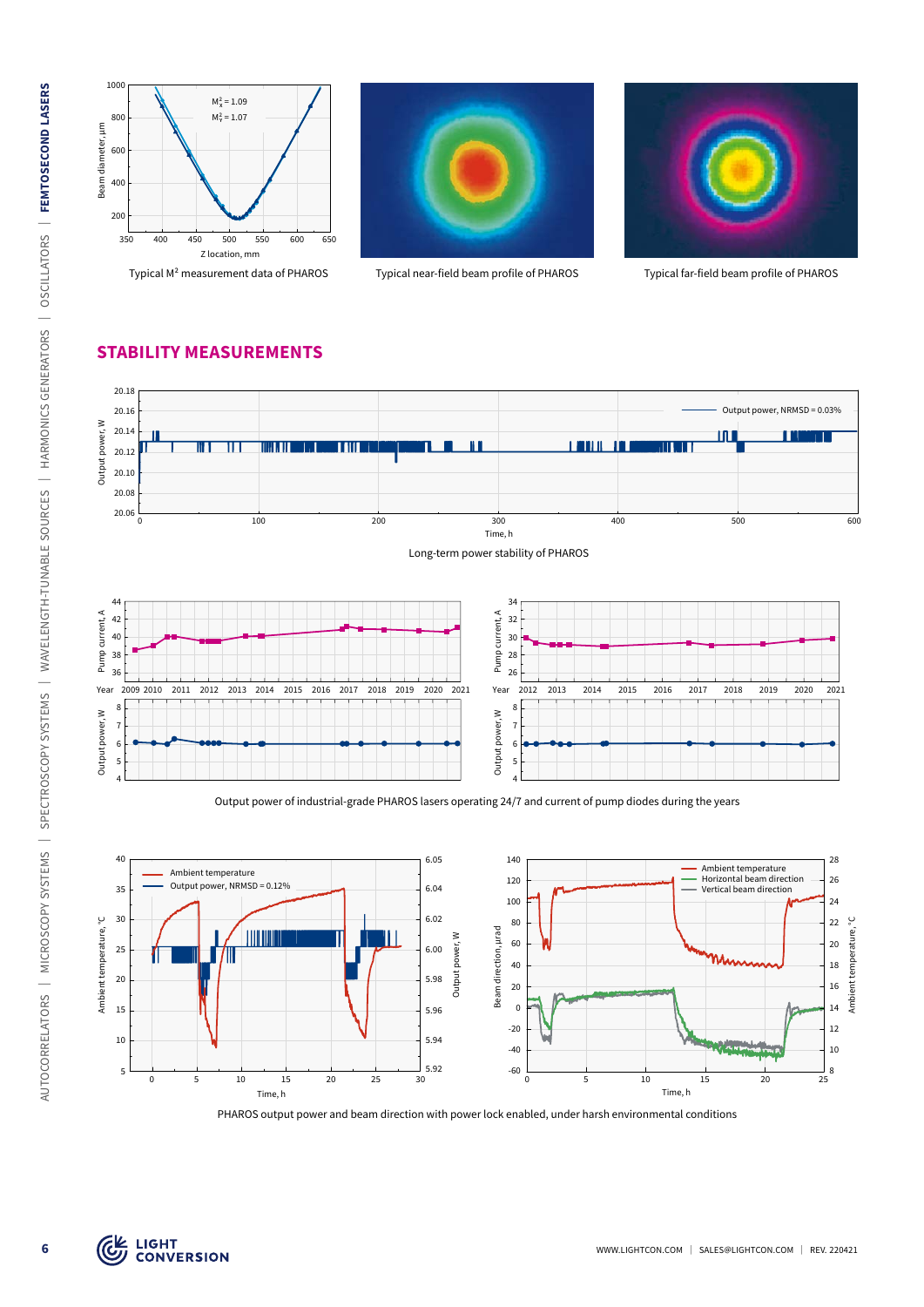

Typical M² measurement data of PHAROS Typical near-field beam profile of PHAROS Typical far-field beam profile of PHAROS





#### **STABILITY MEASUREMENTS**



Output power of industrial-grade PHAROS lasers operating 24/7 and current of pump diodes during the years



PHAROS output power and beam direction with power lock enabled, under harsh environmental conditions

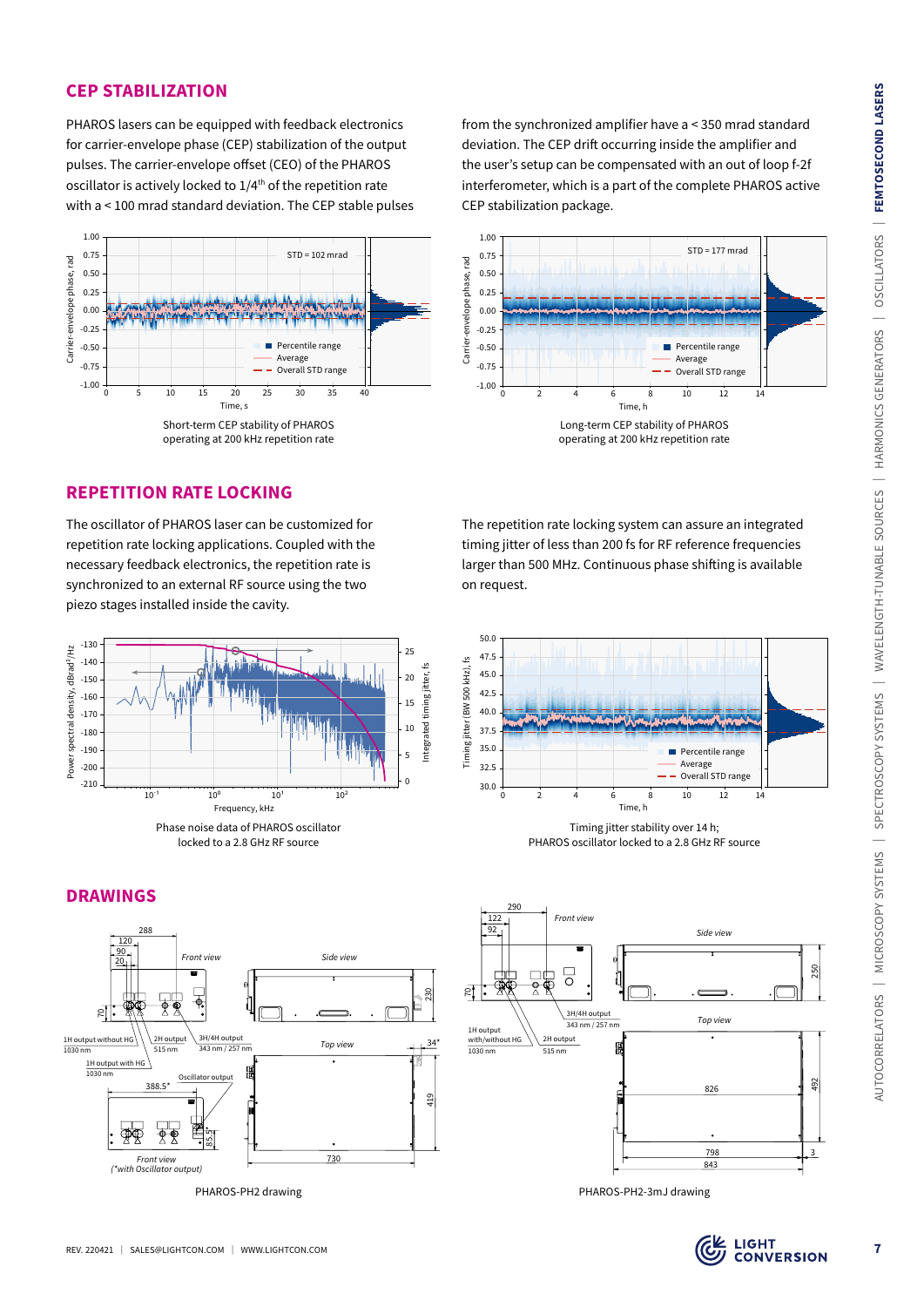#### **CEP STABILIZATION**

PHAROS lasers can be equipped with feedback electronics for carrier-envelope phase (CEP) stabilization of the output pulses. The carrier-envelope offset (CEO) of the PHAROS oscillator is actively locked to  $1/4<sup>th</sup>$  of the repetition rate with a < 100 mrad standard deviation. The CEP stable pulses



from the synchronized amplifier have a < 350 mrad standard deviation. The CEP drift occurring inside the amplifier and the user's setup can be compensated with an out of loop f-2f interferometer, which is a part of the complete PHAROS active CEP stabilization package.



The repetition rate locking system can assure an integrated timing jitter of less than 200 fs for RF reference frequencies larger than 500 MHz. Continuous phase shifting is available on request.







#### **REPETITION RATE LOCKING**

The oscillator of PHAROS laser can be customized for repetition rate locking applications. Coupled with the necessary feedback electronics, the repetition rate is synchronized to an external RF source using the two piezo stages installed inside the cavity.



#### **DRAWINGS**





3

492

250

826

*Top view*

*Side view*

798 843